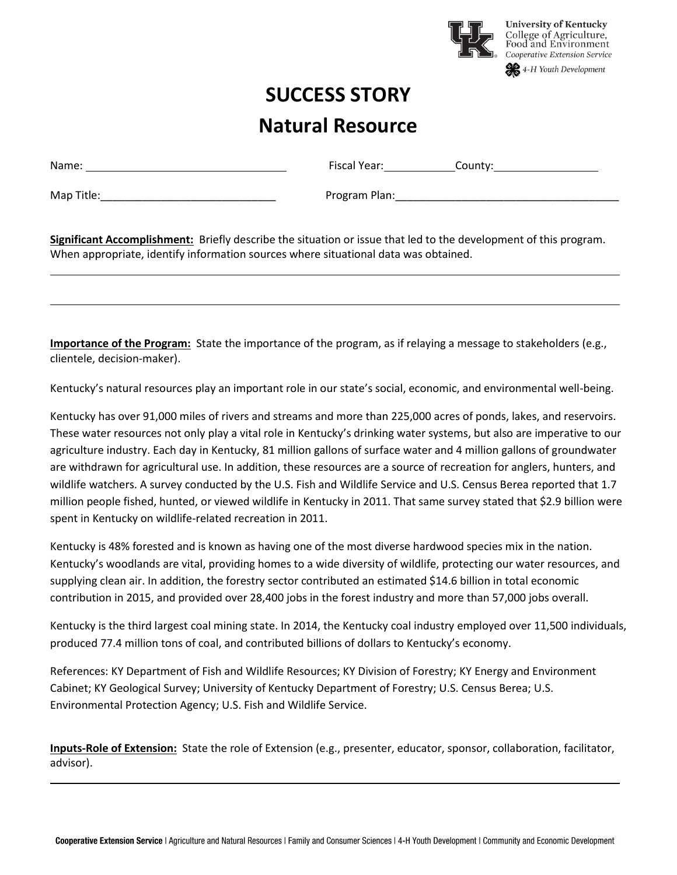

## **SUCCESS STORY Natural Resource**

| Name:      | <b>Fiscal Year:</b><br>County: |
|------------|--------------------------------|
| Map Title: | Program Plan:                  |

**Significant Accomplishment:** Briefly describe the situation or issue that led to the development of this program. When appropriate, identify information sources where situational data was obtained.

**Importance of the Program:** State the importance of the program, as if relaying a message to stakeholders (e.g., clientele, decision-maker).

Kentucky's natural resources play an important role in our state's social, economic, and environmental well-being.

Kentucky has over 91,000 miles of rivers and streams and more than 225,000 acres of ponds, lakes, and reservoirs. These water resources not only play a vital role in Kentucky's drinking water systems, but also are imperative to our agriculture industry. Each day in Kentucky, 81 million gallons of surface water and 4 million gallons of groundwater are withdrawn for agricultural use. In addition, these resources are a source of recreation for anglers, hunters, and wildlife watchers. A survey conducted by the U.S. Fish and Wildlife Service and U.S. Census Berea reported that 1.7 million people fished, hunted, or viewed wildlife in Kentucky in 2011. That same survey stated that \$2.9 billion were spent in Kentucky on wildlife-related recreation in 2011.

Kentucky is 48% forested and is known as having one of the most diverse hardwood species mix in the nation. Kentucky's woodlands are vital, providing homes to a wide diversity of wildlife, protecting our water resources, and supplying clean air. In addition, the forestry sector contributed an estimated \$14.6 billion in total economic contribution in 2015, and provided over 28,400 jobs in the forest industry and more than 57,000 jobs overall.

Kentucky is the third largest coal mining state. In 2014, the Kentucky coal industry employed over 11,500 individuals, produced 77.4 million tons of coal, and contributed billions of dollars to Kentucky's economy.

References: KY Department of Fish and Wildlife Resources; KY Division of Forestry; KY Energy and Environment Cabinet; KY Geological Survey; University of Kentucky Department of Forestry; U.S. Census Berea; U.S. Environmental Protection Agency; U.S. Fish and Wildlife Service.

**Inputs-Role of Extension:** State the role of Extension (e.g., presenter, educator, sponsor, collaboration, facilitator, advisor).